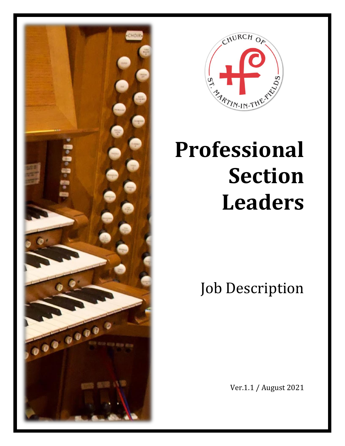



# **Professional Section Leaders**

Job Description

Ver.1.1 / August 2021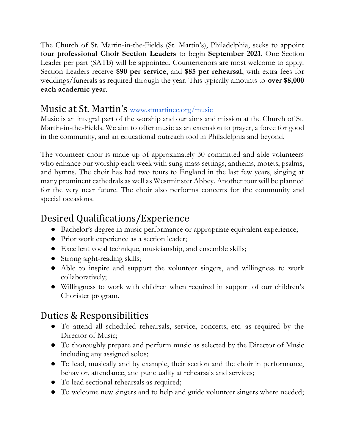The Church of St. Martin-in-the-Fields (St. Martin's), Philadelphia, seeks to appoint f**our professional Choir Section Leaders** to begin **September 2021**. One Section Leader per part (SATB) will be appointed. Countertenors are most welcome to apply. Section Leaders receive **\$90 per service**, and **\$85 per rehearsal**, with extra fees for weddings/funerals as required through the year. This typically amounts to **over \$8,000 each academic year**.

#### Music at St. Martin's [www.stmartinec.org/music](http://www.stmartinec.org/music)

Music is an integral part of the worship and our aims and mission at the Church of St. Martin-in-the-Fields. We aim to offer music as an extension to prayer, a force for good in the community, and an educational outreach tool in Philadelphia and beyond.

The volunteer choir is made up of approximately 30 committed and able volunteers who enhance our worship each week with sung mass settings, anthems, motets, psalms, and hymns. The choir has had two tours to England in the last few years, singing at many prominent cathedrals as well as Westminster Abbey. Another tour will be planned for the very near future. The choir also performs concerts for the community and special occasions.

# Desired Qualifications/Experience

- Bachelor's degree in music performance or appropriate equivalent experience;
- Prior work experience as a section leader;
- Excellent vocal technique, musicianship, and ensemble skills;
- Strong sight-reading skills;
- Able to inspire and support the volunteer singers, and willingness to work collaboratively;
- Willingness to work with children when required in support of our children's Chorister program.

## Duties & Responsibilities

- To attend all scheduled rehearsals, service, concerts, etc. as required by the Director of Music;
- To thoroughly prepare and perform music as selected by the Director of Music including any assigned solos;
- To lead, musically and by example, their section and the choir in performance, behavior, attendance, and punctuality at rehearsals and services;
- To lead sectional rehearsals as required;
- To welcome new singers and to help and guide volunteer singers where needed;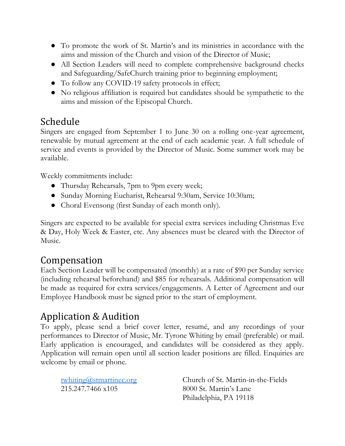- To promote the work of St. Martin's and its ministries in accordance with the aims and mission of the Church and vision of the Director of Music;
- All Section Leaders will need to complete comprehensive background checks and Safeguarding/SafeChurch training prior to beginning employment;
- To follow any COVID-19 safety protocols in effect;
- No religious affiliation is required but candidates should be sympathetic to the aims and mission of the Episcopal Church.

## Schedule

Singers are engaged from September 1 to June 30 on a rolling one-year agreement, renewable by mutual agreement at the end of each academic year. A full schedule of service and events is provided by the Director of Music. Some summer work may be available.

Weekly commitments include:

- Thursday Rehearsals, 7pm to 9pm every week;
- Sunday Morning Eucharist, Rehearsal 9:30am, Service 10:30am;
- Choral Evensong (first Sunday of each month only).

Singers are expected to be available for special extra services including Christmas Eve & Day, Holy Week & Easter, etc. Any absences must be cleared with the Director of Music.

#### Compensation

Each Section Leader will be compensated (monthly) at a rate of \$90 per Sunday service (including rehearsal beforehand) and \$85 for rehearsals. Additional compensation will be made as required for extra services/engagements. A Letter of Agreement and our Employee Handbook must be signed prior to the start of employment.

## Application & Audition

To apply, please send a brief cover letter, resumé, and any recordings of your performances to Director of Music, Mr. Tyrone Whiting by email (preferable) or mail. Early application is encouraged, and candidates will be considered as they apply. Application will remain open until all section leader positions are filled. Enquiries are welcome by email or phone.

| twhiting@stmartinec.org |  |
|-------------------------|--|
| 215.247.7466 x105       |  |

Church of St. Martin-in-the-Fields 8000 St. Martin's Lane Philadelphia, PA 19118